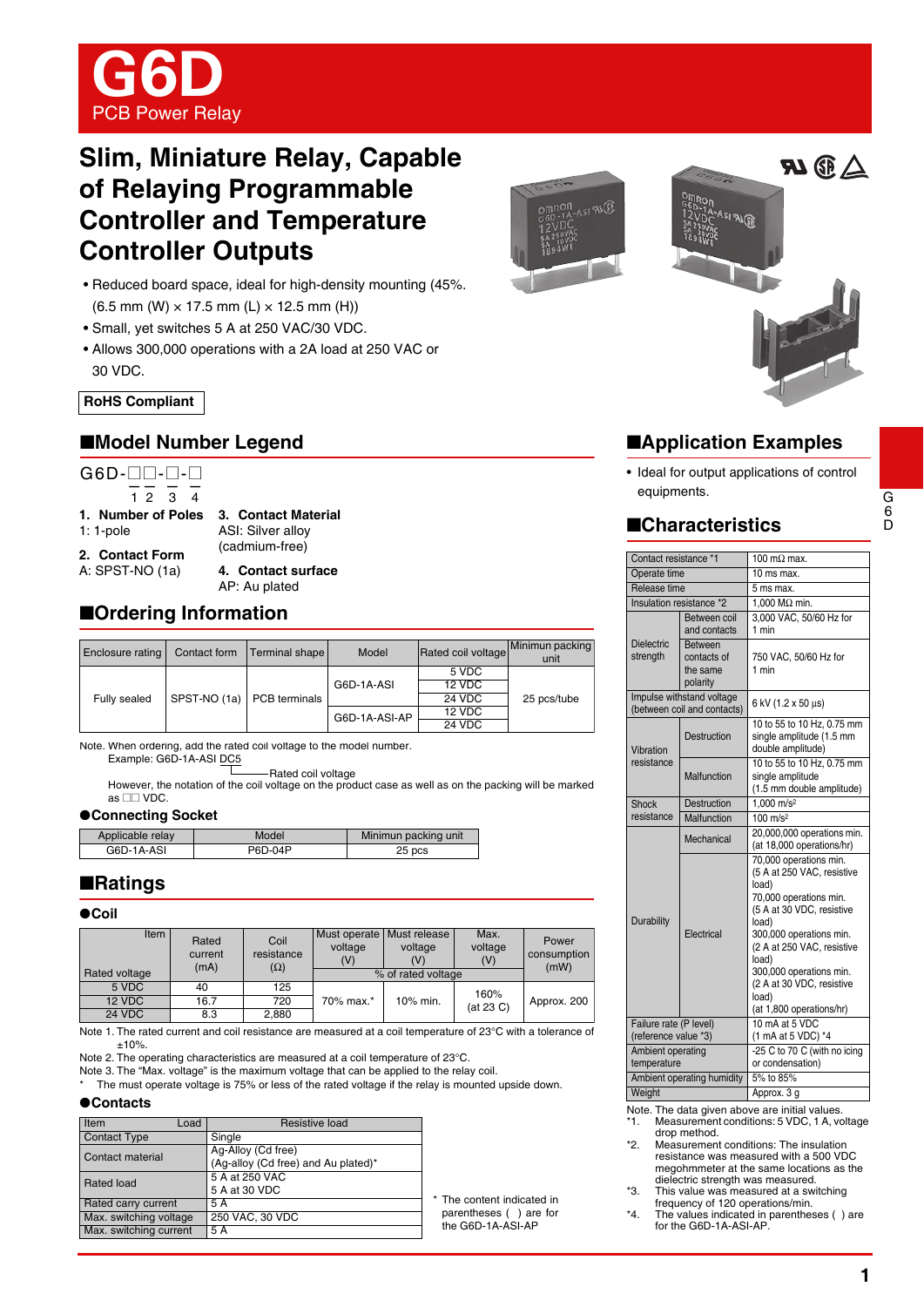

# **Slim, Miniature Relay, Capable of Relaying Programmable Controller and Temperature Controller Outputs**

- Reduced board space, ideal for high-density mounting (45%.  $(6.5$  mm  $(W) \times 17.5$  mm  $(L) \times 12.5$  mm  $(H)$ )
- Small, yet switches 5 A at 250 VAC/30 VDC.
- Allows 300,000 operations with a 2A load at 250 VAC or 30 VDC.

**RoHS Compliant**

## ■**Model Number Legend**

G6D-**□**D-**□**-□  $1234$ 

**1. Number of Poles**

1: 1-pole

**3. Contact Material** ASI: Silver alloy (cadmium-free)

**2. Contact Form** A: SPST-NO (1a)

**4. Contact surface** AP: Au plated

■**Drdering Information** 

| Enclosure rating | Contact form | Terminal shape | Model         | Rated coil voltage | Minimun packing<br>unit |
|------------------|--------------|----------------|---------------|--------------------|-------------------------|
| Fully sealed     |              |                |               | 5 VDC              |                         |
|                  |              |                | G6D-1A-ASI    | 12 VDC             |                         |
|                  | SPST-NO (1a) | PCB terminals  |               | 24 VDC             | 25 pcs/tube             |
|                  |              |                | G6D-1A-ASI-AP | 12 VDC             |                         |
|                  |              |                |               | 24 VDC             |                         |

Note. When ordering, add the rated coil voltage to the model number. Example: G6D-1A-ASI DC5

Rated coil voltage

However, the notation of the coil voltage on the product case as well as on the packing will be marked as  $\square\square$  VDC.

#### ●**Connecting Socket**

| Applicable relay | Model   | Minimun packing unit |
|------------------|---------|----------------------|
| G6D-1A-ASI       | P6D-04P | 25 pcs               |

## ■**Ratings**

| Item<br>Rated voltage | Rated<br>current<br>(mA) | Coil<br>resistance<br>$(\Omega)$ | voltage<br>(V) | Must operate   Must release<br>voltage<br>% of rated voltage | Max.<br>voltage<br>(V) | Power<br>consumption<br>(mW) |
|-----------------------|--------------------------|----------------------------------|----------------|--------------------------------------------------------------|------------------------|------------------------------|
| 5 VDC                 | 40                       | 125                              |                |                                                              | 160%                   |                              |
| 12 VDC                | 16.7                     | 720                              | 70% max.*      | 10% min.                                                     | (at 23 C)              | Approx. 200                  |
| <b>24 VDC</b>         | 8.3                      | 2.880                            |                |                                                              |                        |                              |

Note 1. The rated current and coil resistance are measured at a coil temperature of 23°C with a tolerance of ±10%.

Note 2. The operating characteristics are measured at a coil temperature of 23°C.

Note 3. The "Max. voltage" is the maximum voltage that can be applied to the relay coil.

The must operate voltage is 75% or less of the rated voltage if the relay is mounted upside down.

#### ●**Contacts**

| Item<br>Load           | Resistive load                      |                            |
|------------------------|-------------------------------------|----------------------------|
| <b>Contact Type</b>    | Single                              |                            |
| Contact material       | Ag-Alloy (Cd free)                  |                            |
|                        | (Ag-alloy (Cd free) and Au plated)* |                            |
| Rated load             | 5 A at 250 VAC                      |                            |
|                        | 5 A at 30 VDC                       |                            |
| Rated carry current    | 5 A                                 | * The content indicated in |
| Max. switching voltage | 250 VAC, 30 VDC                     | parentheses () are for     |
| Max. switching current | 5 A                                 | the G6D-1A-ASI-AP          |



# ■**Application Examples**

• Ideal for output applications of control equipments.

## ■**Characteristics**

| Contact resistance *1            |                                                          | 100 m $\Omega$ max.                                                                                                                                                                                                                                                                          |  |
|----------------------------------|----------------------------------------------------------|----------------------------------------------------------------------------------------------------------------------------------------------------------------------------------------------------------------------------------------------------------------------------------------------|--|
| Operate time                     |                                                          | 10 ms max.                                                                                                                                                                                                                                                                                   |  |
| Release time                     |                                                          | 5 ms max.                                                                                                                                                                                                                                                                                    |  |
| Insulation resistance *2         |                                                          | 1,000 M $\Omega$ min.                                                                                                                                                                                                                                                                        |  |
|                                  | Between coil<br>and contacts                             | 3.000 VAC, 50/60 Hz for<br>1 min                                                                                                                                                                                                                                                             |  |
| <b>Dielectric</b><br>strength    | <b>Between</b><br>contacts of<br>the same<br>polarity    | 750 VAC, 50/60 Hz for<br>1 min                                                                                                                                                                                                                                                               |  |
|                                  | Impulse withstand voltage<br>(between coil and contacts) | 6 kV (1.2 x 50 µs)                                                                                                                                                                                                                                                                           |  |
| Vibration                        | Destruction                                              | 10 to 55 to 10 Hz, 0.75 mm<br>single amplitude (1.5 mm<br>double amplitude)                                                                                                                                                                                                                  |  |
| resistance                       | Malfunction                                              | 10 to 55 to 10 Hz, 0.75 mm<br>single amplitude<br>(1.5 mm double amplitude)                                                                                                                                                                                                                  |  |
| Shock                            | <b>Destruction</b>                                       | 1.000 m/s <sup>2</sup>                                                                                                                                                                                                                                                                       |  |
| resistance                       | Malfunction                                              | $100 \text{ m/s}^2$                                                                                                                                                                                                                                                                          |  |
|                                  | Mechanical                                               | 20,000,000 operations min.<br>(at 18,000 operations/hr)                                                                                                                                                                                                                                      |  |
| Durability                       | Electrical                                               | 70,000 operations min.<br>(5 A at 250 VAC, resistive<br>load)<br>70,000 operations min.<br>(5 A at 30 VDC, resistive<br>load)<br>300,000 operations min.<br>(2 A at 250 VAC, resistive<br>load)<br>300,000 operations min.<br>(2 A at 30 VDC, resistive<br>load)<br>(at 1,800 operations/hr) |  |
| Failure rate (P level)           |                                                          | 10 mA at 5 VDC                                                                                                                                                                                                                                                                               |  |
| (reference value *3)             |                                                          | (1 mA at 5 VDC) *4                                                                                                                                                                                                                                                                           |  |
| Ambient operating<br>temperature |                                                          | -25 C to 70 C (with no icing<br>or condensation)                                                                                                                                                                                                                                             |  |
|                                  | Ambient operating humidity                               | 5% to 85%                                                                                                                                                                                                                                                                                    |  |
| Weight                           |                                                          | Approx. 3 g                                                                                                                                                                                                                                                                                  |  |

Note. The data given above are initial values.

- \*1. Measurement conditions: 5 VDC, 1 A, voltage drop method.
- \*2. Measurement conditions: The insulation resistance was measured with a 500 VDC megohmmeter at the same locations as the dielectric strength was measured.

\*3. This value was measured at a switching frequency of 120 operations/min.

\*4. The values indicated in parentheses ( ) are for the G6D-1A-ASI-AP

D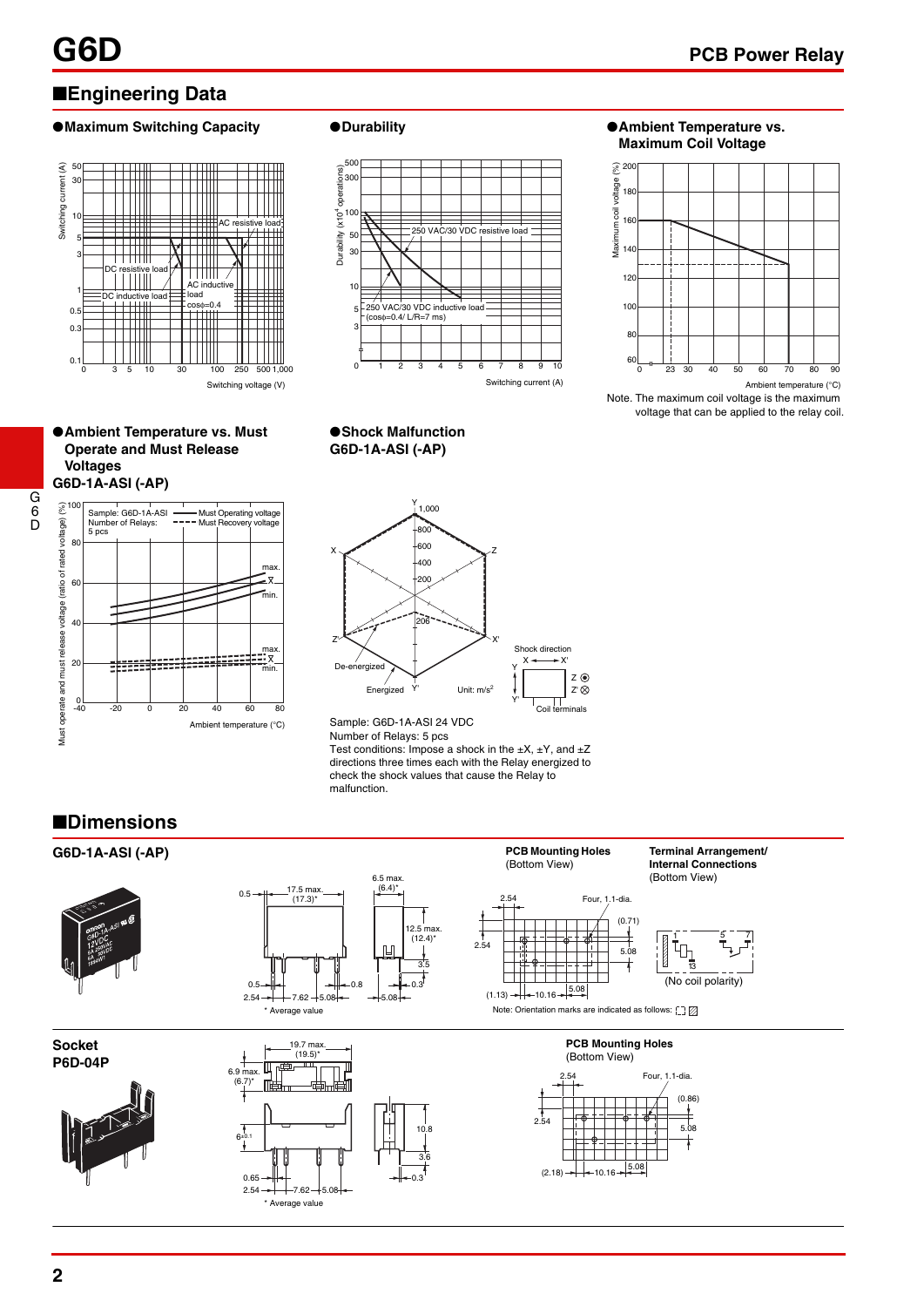# ■**Engineering Data**

### ●**Maximum Switching Capacity ●Durability ● △ Ambient Temperature vs.**



#### ●**Ambient Temperature vs. Must Operate and Must Release Voltages G6D-1A-ASI (-AP)**







# **Maximum Coil Voltage**



Ambient temperature (°C)

Note. The maximum coil voltage is the maximum voltage that can be applied to the relay coil.





Sample: G6D-1A-ASI 24 VDC Number of Relays: 5 pcs

6.5 max.

Test conditions: Impose a shock in the  $\pm X$ ,  $\pm Y$ , and  $\pm Z$ directions three times each with the Relay energized to check the shock values that cause the Relay to malfunction.

2.54

2.54

## ■**Dimensions**

## **G6D-1A-ASI (-AP) Terminal Arrangement Terminal Arrangement**





**Socket P6D-04P**





 $6.9 \text{ ma}$ <br> $(6.7)$ 

6±0.1



(0.71) 5.08

1 5 7

**Internal Connections** (Bottom View)

13

(No coil polarity)

Four, 1.1-dia.

**PCB Mounting Holes**  (Bottom View)



G 6 D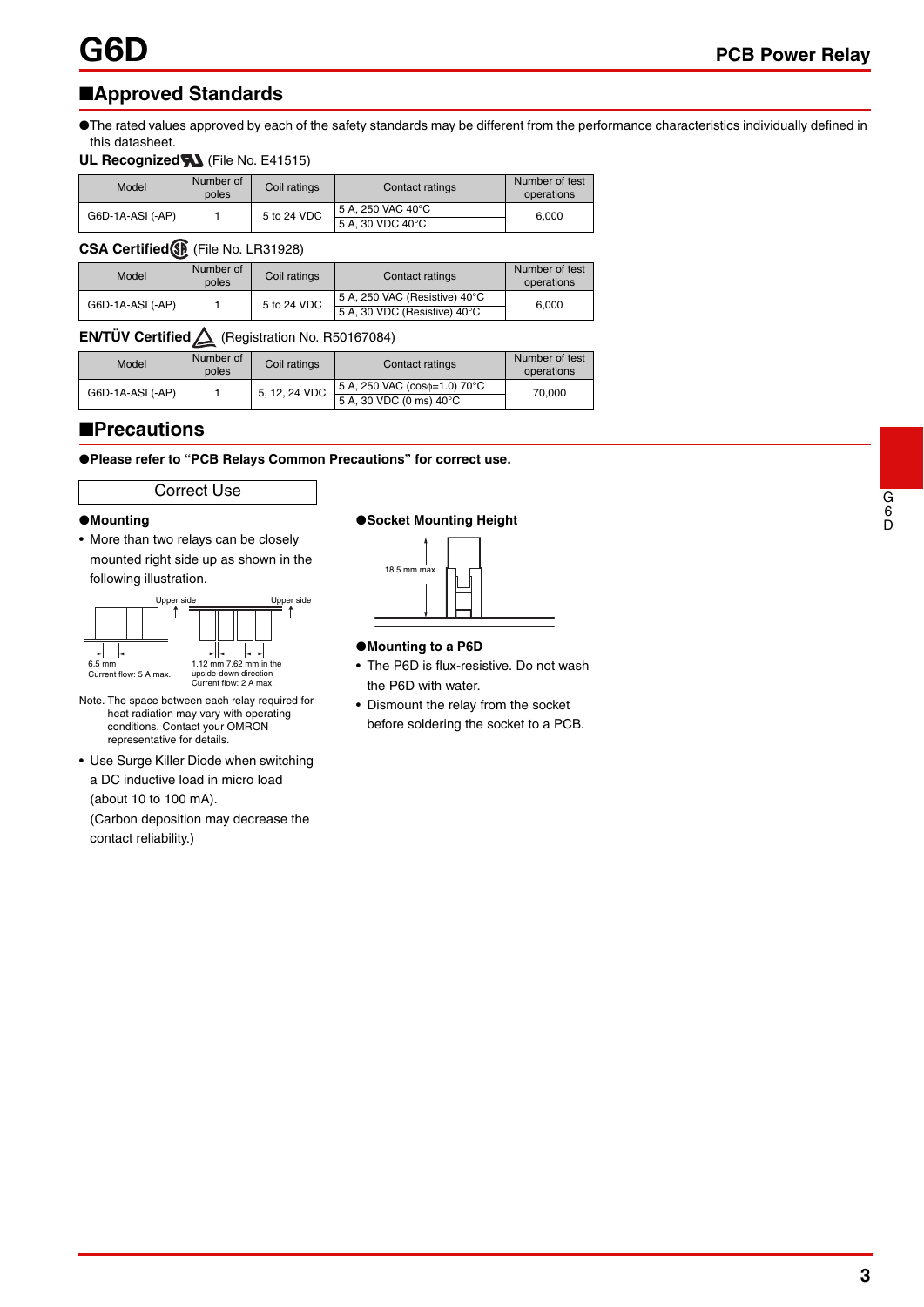# ■**Approved Standards**

●The rated values approved by each of the safety standards may be different from the performance characteristics individually defined in this datasheet.

### **UL Recognized M** (File No. E41515)

| Model            | Number of<br>poles | Coil ratings | Contact ratings                       | Number of test<br>operations |
|------------------|--------------------|--------------|---------------------------------------|------------------------------|
| G6D-1A-ASI (-AP) |                    | 5 to 24 VDC  | 5 A. 250 VAC 40°C<br>5 A. 30 VDC 40°C | 6.000                        |

### **CSA Certified** (File No. LR31928)

| Model            | Number of<br>poles | Coil ratings | Contact ratings                                               | Number of test<br>operations |
|------------------|--------------------|--------------|---------------------------------------------------------------|------------------------------|
| G6D-1A-ASI (-AP) |                    | 5 to 24 VDC  | 5 A, 250 VAC (Resistive) 40°C<br>5 A, 30 VDC (Resistive) 40°C | 6.000                        |

## **EN/TÜV Certified** (Registration No. R50167084)

| Model            | Number of<br>poles | Coil ratings  | Contact ratings                                               | Number of test<br>operations |
|------------------|--------------------|---------------|---------------------------------------------------------------|------------------------------|
| G6D-1A-ASI (-AP) |                    | 5, 12, 24 VDC | 5 A, 250 VAC (coso=1.0) 70°C<br>$5 A$ , 30 VDC (0 ms) 40 $°C$ | 70.000                       |

## ■**Precautions**

●**Please refer to "PCB Relays Common Precautions" for correct use.**

### Correct Use

#### ●**Mounting**

• More than two relays can be closely mounted right side up as shown in the following illustration.



Note. The space between each relay required for heat radiation may vary with operating conditions. Contact your OMRON representative for details.

• Use Surge Killer Diode when switching a DC inductive load in micro load (about 10 to 100 mA).

(Carbon deposition may decrease the contact reliability.)

#### ●**Socket Mounting Height**



#### ●**Mounting to a P6D**

- The P6D is flux-resistive. Do not wash the P6D with water.
- Dismount the relay from the socket before soldering the socket to a PCB.